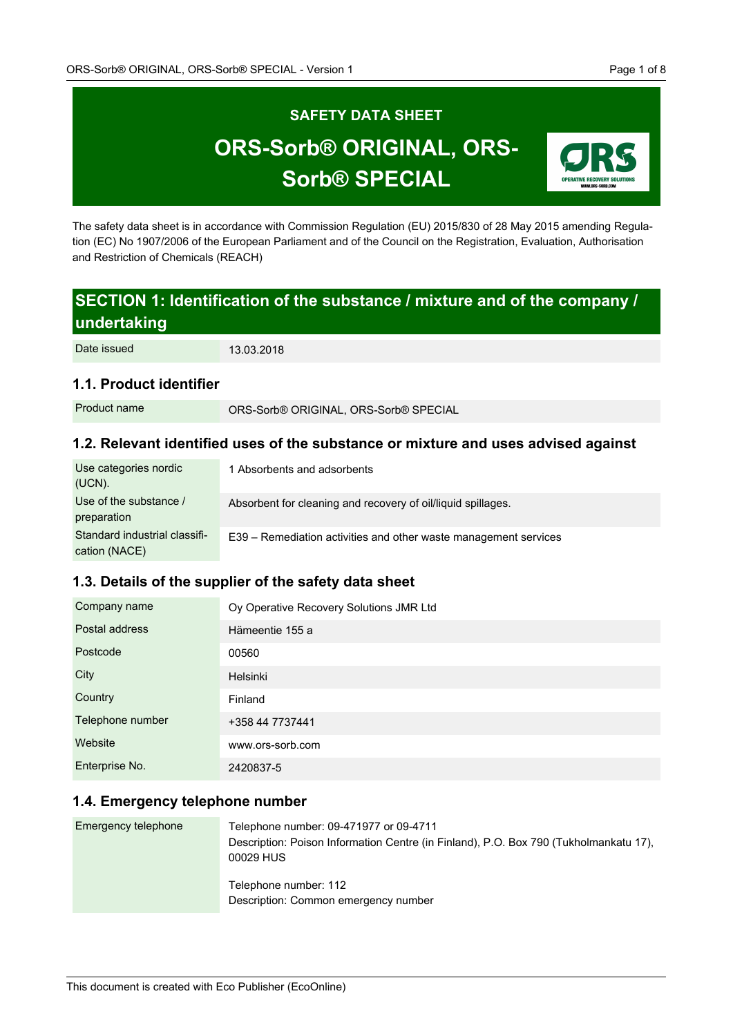

The safety data sheet is in accordance with Commission Regulation (EU) 2015/830 of 28 May 2015 amending Regulation (EC) No 1907/2006 of the European Parliament and of the Council on the Registration, Evaluation, Authorisation and Restriction of Chemicals (REACH)

# **SECTION 1: Identification of the substance / mixture and of the company / undertaking**

Date issued 13.03.2018

# **1.1. Product identifier**

Product name **ORS-Sorb® ORIGINAL, ORS-Sorb® SPECIAL** 

# **1.2. Relevant identified uses of the substance or mixture and uses advised against**

| Use categories nordic<br>$(UCN)$ .             | 1 Absorbents and adsorbents                                      |
|------------------------------------------------|------------------------------------------------------------------|
| Use of the substance /<br>preparation          | Absorbent for cleaning and recovery of oil/liquid spillages.     |
| Standard industrial classifi-<br>cation (NACE) | E39 – Remediation activities and other waste management services |

# **1.3. Details of the supplier of the safety data sheet**

| Company name     | Oy Operative Recovery Solutions JMR Ltd |
|------------------|-----------------------------------------|
| Postal address   | Hämeentie 155 a                         |
| Postcode         | 00560                                   |
| City             | Helsinki                                |
| Country          | Finland                                 |
| Telephone number | +358 44 7737441                         |
| Website          | www.ors-sorb.com                        |
| Enterprise No.   | 2420837-5                               |

# **1.4. Emergency telephone number**

| Emergency telephone | Telephone number: 09-471977 or 09-4711<br>Description: Poison Information Centre (in Finland), P.O. Box 790 (Tukholmankatu 17),<br>00029 HUS |
|---------------------|----------------------------------------------------------------------------------------------------------------------------------------------|
|                     | Telephone number: 112<br>Description: Common emergency number                                                                                |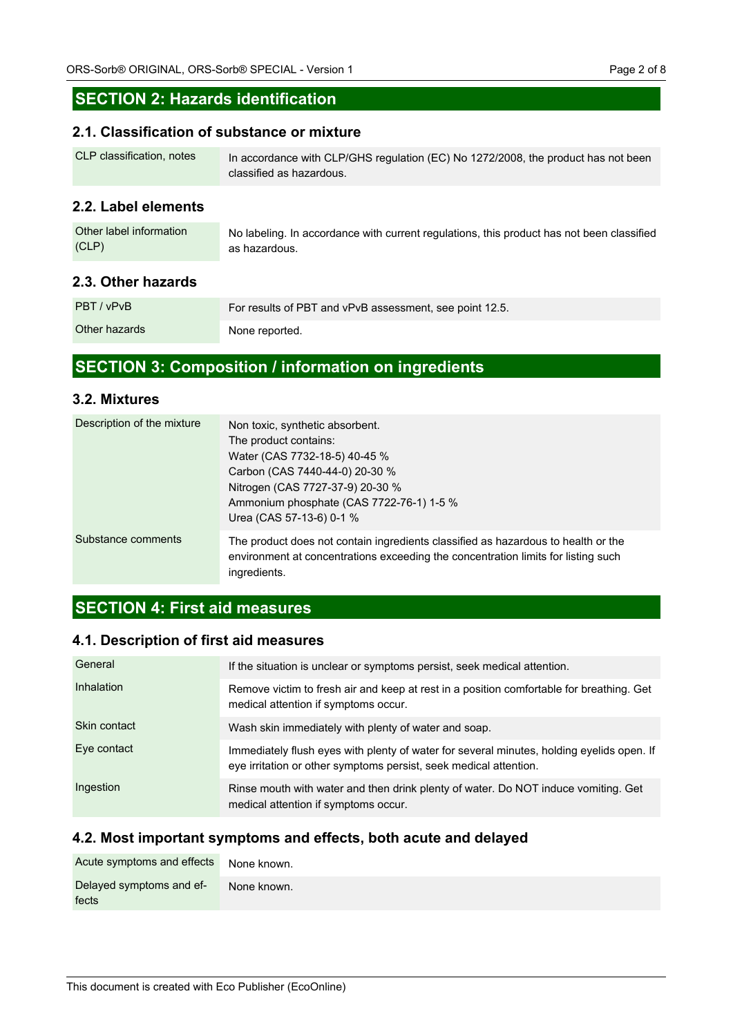# **SECTION 2: Hazards identification**

# **2.1. Classification of substance or mixture**

| CLP classification, notes | In accordance with CLP/GHS regulation (EC) No 1272/2008, the product has not been |
|---------------------------|-----------------------------------------------------------------------------------|
|                           | classified as hazardous.                                                          |

### **2.2. Label elements**

| Other label information | No labeling. In accordance with current regulations, this product has not been classified |
|-------------------------|-------------------------------------------------------------------------------------------|
| (CLP)                   | as hazardous.                                                                             |

# **2.3. Other hazards**

| PBT / vPvB    | For results of PBT and vPvB assessment, see point 12.5. |
|---------------|---------------------------------------------------------|
| Other hazards | None reported.                                          |

# **SECTION 3: Composition / information on ingredients**

# **3.2. Mixtures**

| Description of the mixture | Non toxic, synthetic absorbent.<br>The product contains:<br>Water (CAS 7732-18-5) 40-45 %<br>Carbon (CAS 7440-44-0) 20-30 %<br>Nitrogen (CAS 7727-37-9) 20-30 %<br>Ammonium phosphate (CAS 7722-76-1) 1-5 %<br>Urea (CAS 57-13-6) 0-1 % |
|----------------------------|-----------------------------------------------------------------------------------------------------------------------------------------------------------------------------------------------------------------------------------------|
| Substance comments         | The product does not contain ingredients classified as hazardous to health or the<br>environment at concentrations exceeding the concentration limits for listing such<br>ingredients.                                                  |

# **SECTION 4: First aid measures**

# **4.1. Description of first aid measures**

| General      | If the situation is unclear or symptoms persist, seek medical attention.                                                                                       |
|--------------|----------------------------------------------------------------------------------------------------------------------------------------------------------------|
| Inhalation   | Remove victim to fresh air and keep at rest in a position comfortable for breathing. Get<br>medical attention if symptoms occur.                               |
| Skin contact | Wash skin immediately with plenty of water and soap.                                                                                                           |
| Eye contact  | Immediately flush eyes with plenty of water for several minutes, holding eyelids open. If<br>eye irritation or other symptoms persist, seek medical attention. |
| Ingestion    | Rinse mouth with water and then drink plenty of water. Do NOT induce vomiting. Get<br>medical attention if symptoms occur.                                     |

# **4.2. Most important symptoms and effects, both acute and delayed**

| Acute symptoms and effects        | None known. |
|-----------------------------------|-------------|
| Delayed symptoms and ef-<br>fects | None known. |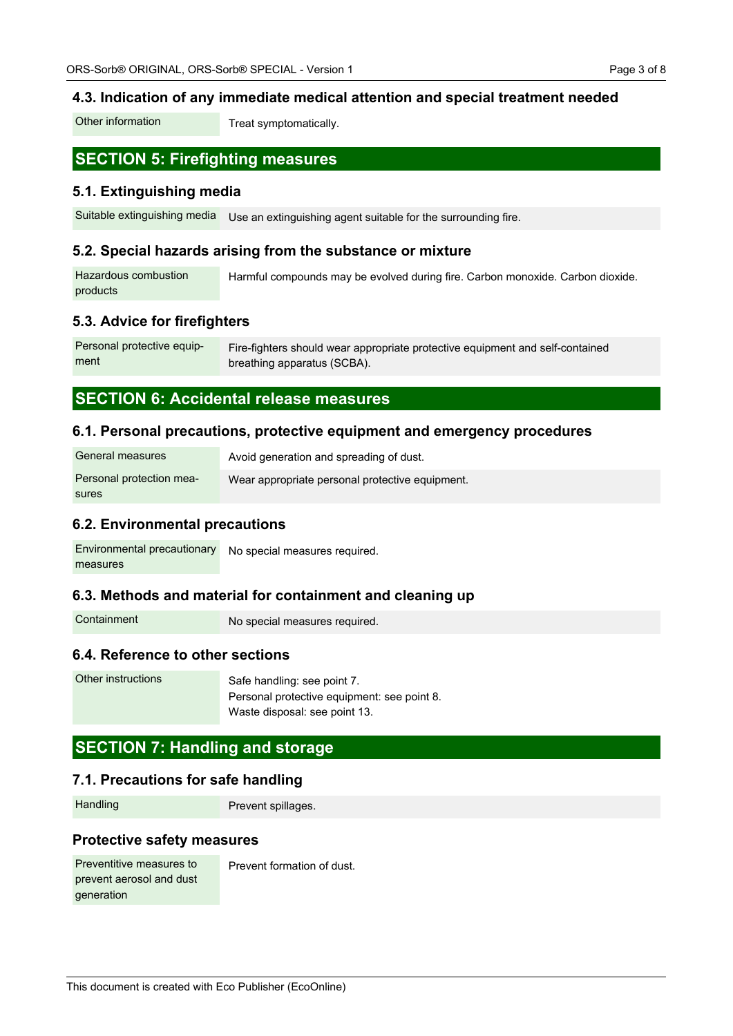### **4.3. Indication of any immediate medical attention and special treatment needed**

Other information Treat symptomatically.

# **SECTION 5: Firefighting measures**

#### **5.1. Extinguishing media**

Suitable extinguishing media Use an extinguishing agent suitable for the surrounding fire.

#### **5.2. Special hazards arising from the substance or mixture**

Hazardous combustion products Harmful compounds may be evolved during fire. Carbon monoxide. Carbon dioxide.

#### **5.3. Advice for firefighters**

Personal protective equipment Fire-fighters should wear appropriate protective equipment and self-contained breathing apparatus (SCBA).

# **SECTION 6: Accidental release measures**

#### **6.1. Personal precautions, protective equipment and emergency procedures**

| General measures         | Avoid generation and spreading of dust.         |
|--------------------------|-------------------------------------------------|
| Personal protection mea- | Wear appropriate personal protective equipment. |
| sures                    |                                                 |

#### **6.2. Environmental precautions**

| Environmental precautionary | No special measures required. |
|-----------------------------|-------------------------------|
| measures                    |                               |

#### **6.3. Methods and material for containment and cleaning up**

Containment No special measures required.

### **6.4. Reference to other sections**

Other instructions Safe handling: see point 7.

Personal protective equipment: see point 8. Waste disposal: see point 13.

# **SECTION 7: Handling and storage**

#### **7.1. Precautions for safe handling**

Handling **Prevent spillages**.

#### **Protective safety measures**

Preventitive measures to prevent aerosol and dust generation

Prevent formation of dust.

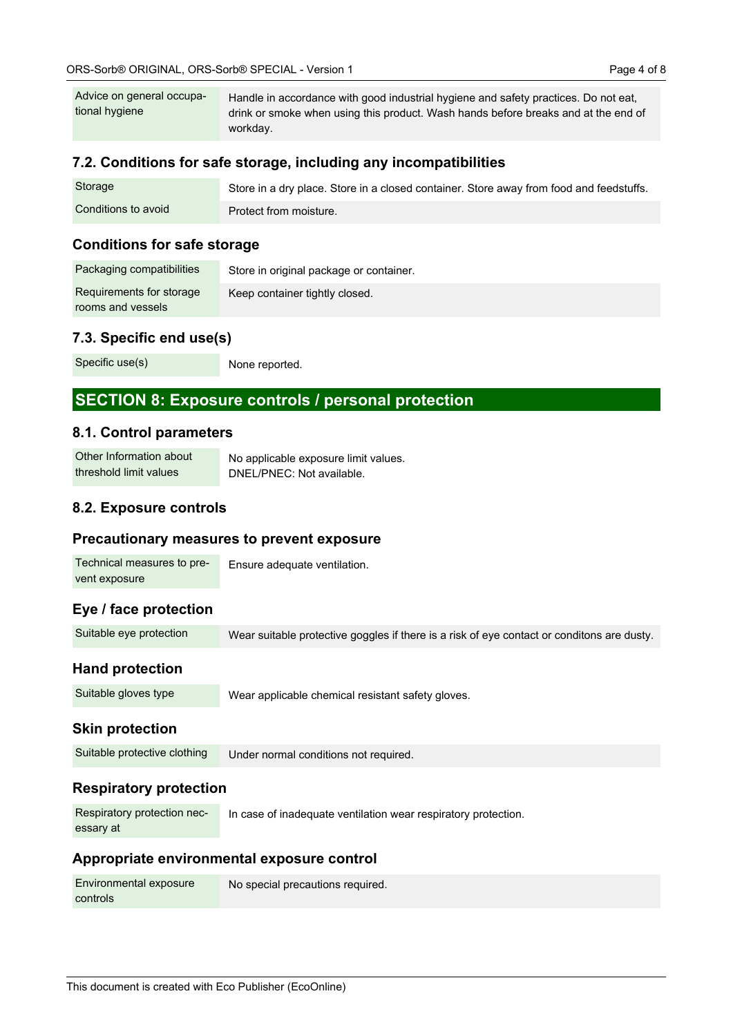| Advice on general occupa- | Handle in accordance with good industrial hygiene and safety practices. Do not eat, |
|---------------------------|-------------------------------------------------------------------------------------|
| tional hygiene            | drink or smoke when using this product. Wash hands before breaks and at the end of  |
|                           | workday.                                                                            |

# **7.2. Conditions for safe storage, including any incompatibilities**

| Storage             | Store in a dry place. Store in a closed container. Store away from food and feedstuffs. |
|---------------------|-----------------------------------------------------------------------------------------|
| Conditions to avoid | Protect from moisture.                                                                  |

## **Conditions for safe storage**

| Packaging compatibilities | Store in original package or container. |
|---------------------------|-----------------------------------------|
| Requirements for storage  | Keep container tightly closed.          |
| rooms and vessels         |                                         |

# **7.3. Specific end use(s)**

Specific use(s) None reported.

# **SECTION 8: Exposure controls / personal protection**

### **8.1. Control parameters**

Other Information about threshold limit values No applicable exposure limit values. DNEL/PNEC: Not available.

# **8.2. Exposure controls**

### **Precautionary measures to prevent exposure**

| Technical measures to pre- | Ensure adequate ventilation. |  |
|----------------------------|------------------------------|--|
| vent exposure              |                              |  |

# **Eye / face protection**

| Suitable eye protection | Wear suitable protective goggles if there is a risk of eye contact or conditons are dusty. |
|-------------------------|--------------------------------------------------------------------------------------------|
|-------------------------|--------------------------------------------------------------------------------------------|

# **Hand protection**

Suitable gloves type Wear applicable chemical resistant safety gloves.

# **Skin protection**

| Suitable protective clothing | Under normal conditions not required. |
|------------------------------|---------------------------------------|
|------------------------------|---------------------------------------|

# **Respiratory protection**

| Respiratory protection nec- | In case of inadequate ventilation wear respiratory protection. |
|-----------------------------|----------------------------------------------------------------|
| essary at                   |                                                                |

# **Appropriate environmental exposure control**

| Environmental exposure | No special precautions required. |
|------------------------|----------------------------------|
| controls               |                                  |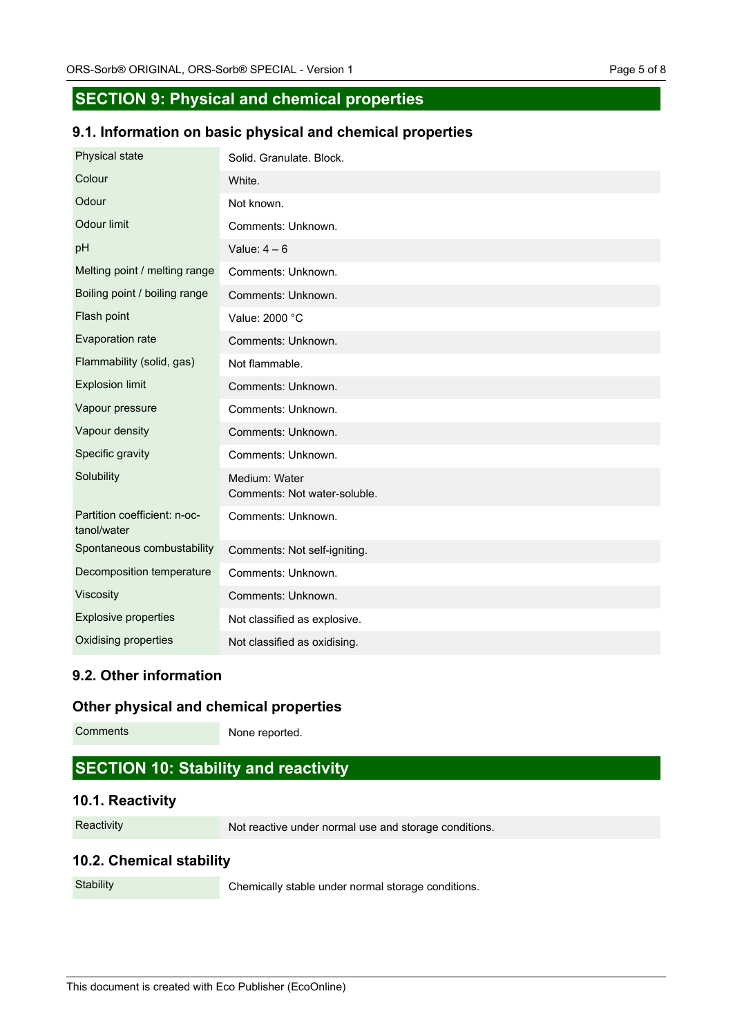# **SECTION 9: Physical and chemical properties**

### **9.1. Information on basic physical and chemical properties**

| Physical state                              | Solid. Granulate. Block.                      |
|---------------------------------------------|-----------------------------------------------|
| Colour                                      | White.                                        |
| Odour                                       | Not known.                                    |
| Odour limit                                 | Comments: Unknown.                            |
| pH                                          | Value: $4-6$                                  |
| Melting point / melting range               | Comments: Unknown.                            |
| Boiling point / boiling range               | Comments: Unknown.                            |
| Flash point                                 | Value: 2000 °C                                |
| Evaporation rate                            | Comments: Unknown.                            |
| Flammability (solid, gas)                   | Not flammable.                                |
| <b>Explosion limit</b>                      | Comments: Unknown.                            |
| Vapour pressure                             | Comments: Unknown.                            |
| Vapour density                              | Comments: Unknown.                            |
| Specific gravity                            | Comments: Unknown.                            |
| Solubility                                  | Medium: Water<br>Comments: Not water-soluble. |
| Partition coefficient: n-oc-<br>tanol/water | Comments: Unknown.                            |
| Spontaneous combustability                  | Comments: Not self-igniting.                  |
| Decomposition temperature                   | Comments: Unknown.                            |
| Viscosity                                   | Comments: Unknown.                            |
| <b>Explosive properties</b>                 | Not classified as explosive.                  |
| Oxidising properties                        | Not classified as oxidising.                  |

# **9.2. Other information**

# **Other physical and chemical properties**

Comments None reported.

# **SECTION 10: Stability and reactivity**

# **10.1. Reactivity**

Reactivity Not reactive under normal use and storage conditions.

# **10.2. Chemical stability**

Stability Chemically stable under normal storage conditions.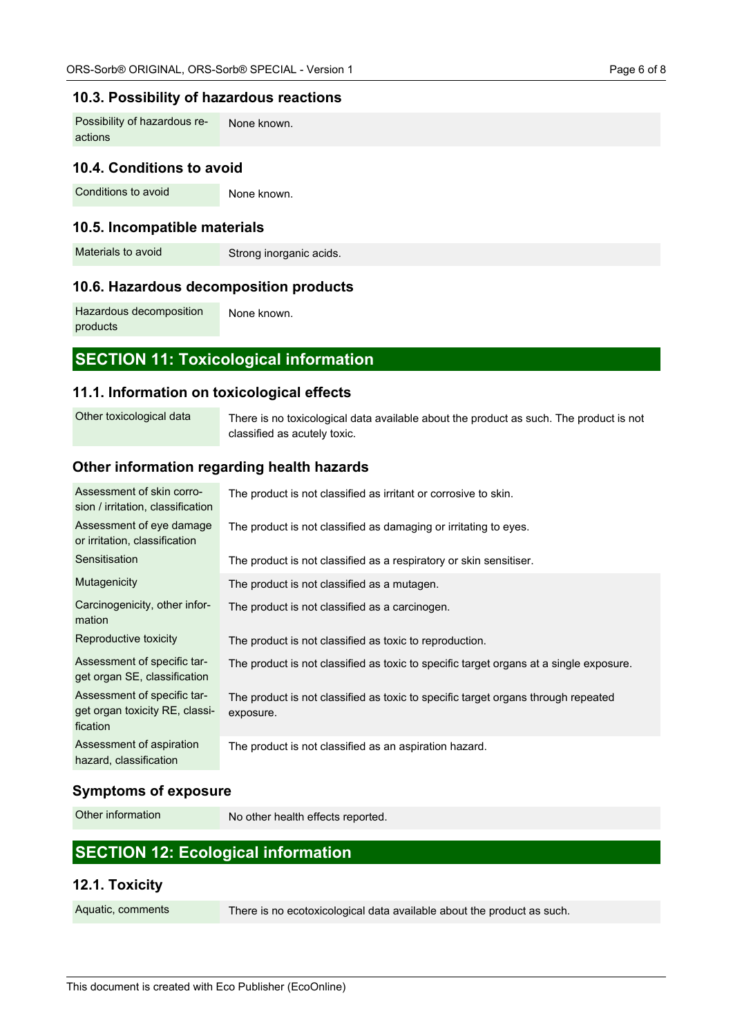### **10.3. Possibility of hazardous reactions**

Possibility of hazardous reactions None known.

# **10.4. Conditions to avoid**

Conditions to avoid None known.

### **10.5. Incompatible materials**

Materials to avoid Strong inorganic acids.

### **10.6. Hazardous decomposition products**

Hazardous decomposition products None known.

# **SECTION 11: Toxicological information**

### **11.1. Information on toxicological effects**

Other toxicological data There is no toxicological data available about the product as such. The product is not classified as acutely toxic.

### **Other information regarding health hazards**

| Assessment of skin corro-<br>sion / irritation, classification            | The product is not classified as irritant or corrosive to skin.                                |
|---------------------------------------------------------------------------|------------------------------------------------------------------------------------------------|
| Assessment of eye damage<br>or irritation, classification                 | The product is not classified as damaging or irritating to eyes.                               |
| Sensitisation                                                             | The product is not classified as a respiratory or skin sensitiser.                             |
| Mutagenicity                                                              | The product is not classified as a mutagen.                                                    |
| Carcinogenicity, other infor-<br>mation                                   | The product is not classified as a carcinogen.                                                 |
| Reproductive toxicity                                                     | The product is not classified as toxic to reproduction.                                        |
| Assessment of specific tar-<br>get organ SE, classification               | The product is not classified as toxic to specific target organs at a single exposure.         |
| Assessment of specific tar-<br>get organ toxicity RE, classi-<br>fication | The product is not classified as toxic to specific target organs through repeated<br>exposure. |
| Assessment of aspiration<br>hazard, classification                        | The product is not classified as an aspiration hazard.                                         |

### **Symptoms of exposure**

Other information No other health effects reported.

# **SECTION 12: Ecological information**

### **12.1. Toxicity**

Aquatic, comments There is no ecotoxicological data available about the product as such.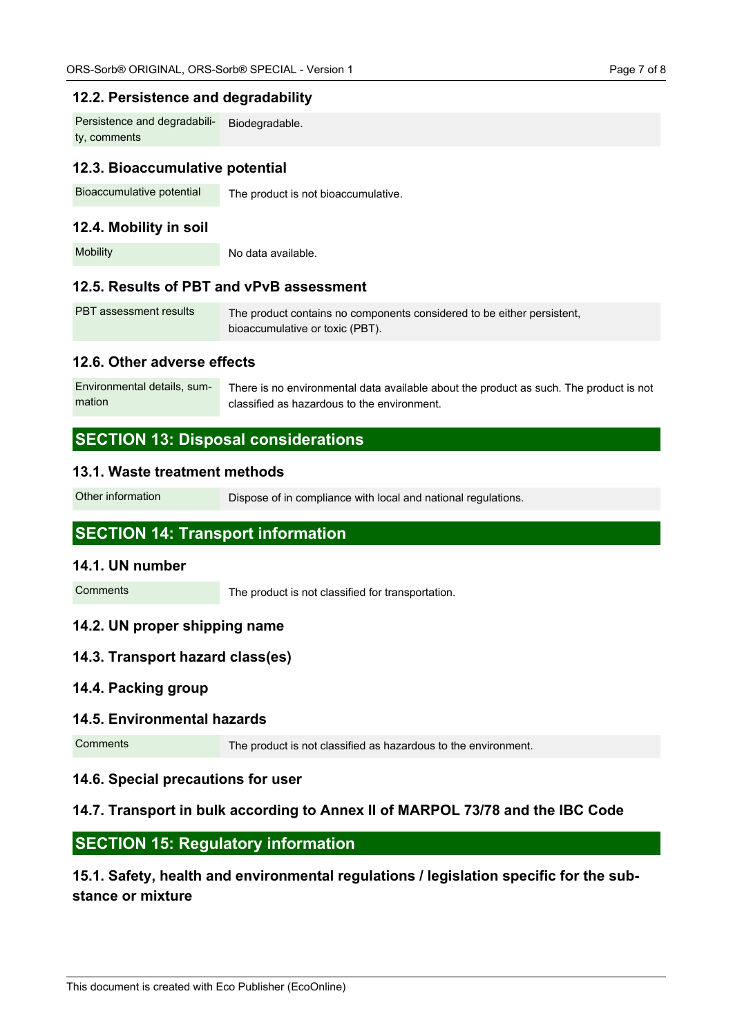# **12.2. Persistence and degradability**

| Persistence and degradabili- | Biodegradable. |
|------------------------------|----------------|
| ty, comments                 |                |

# **12.3. Bioaccumulative potential**

Bioaccumulative potential The product is not bioaccumulative.

# **12.4. Mobility in soil**

Mobility No data available.

# **12.5. Results of PBT and vPvB assessment**

| PBT assessment results | The product contains no components considered to be either persistent, |
|------------------------|------------------------------------------------------------------------|
|                        | bioaccumulative or toxic (PBT).                                        |

### **12.6. Other adverse effects**

Environmental details, summation There is no environmental data available about the product as such. The product is not classified as hazardous to the environment.

# **SECTION 13: Disposal considerations**

### **13.1. Waste treatment methods**

Other information Dispose of in compliance with local and national regulations.

# **SECTION 14: Transport information**

# **14.1. UN number**

Comments The product is not classified for transportation.

# **14.2. UN proper shipping name**

# **14.3. Transport hazard class(es)**

# **14.4. Packing group**

# **14.5. Environmental hazards**

Comments The product is not classified as hazardous to the environment.

# **14.6. Special precautions for user**

# **14.7. Transport in bulk according to Annex II of MARPOL 73/78 and the IBC Code**

# **SECTION 15: Regulatory information**

# **15.1. Safety, health and environmental regulations / legislation specific for the substance or mixture**